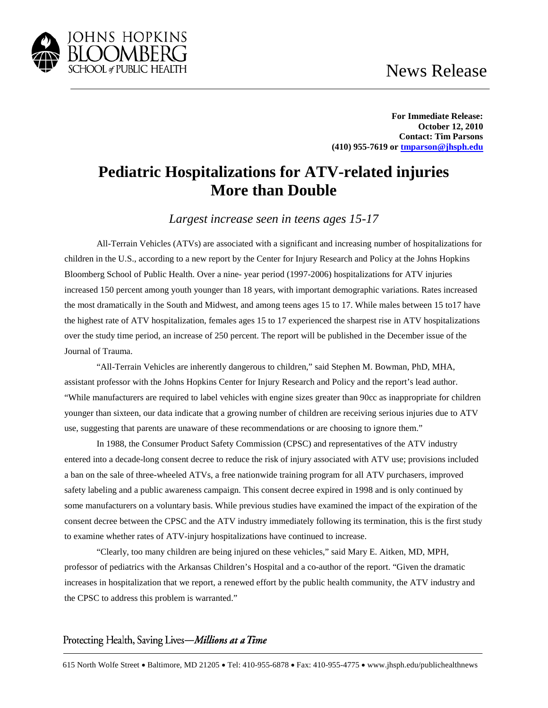## News Release



**For Immediate Release: October 12, 2010 Contact: Tim Parsons (410) 955-7619 o[r tmparson@jhsph.edu](mailto:tmparson@jhsph.edu)**

## **Pediatric Hospitalizations for ATV-related injuries More than Double**

*Largest increase seen in teens ages 15-17*

All-Terrain Vehicles (ATVs) are associated with a significant and increasing number of hospitalizations for children in the U.S., according to a new report by the Center for Injury Research and Policy at the Johns Hopkins Bloomberg School of Public Health. Over a nine- year period (1997-2006) hospitalizations for ATV injuries increased 150 percent among youth younger than 18 years, with important demographic variations. Rates increased the most dramatically in the South and Midwest, and among teens ages 15 to 17. While males between 15 to17 have the highest rate of ATV hospitalization, females ages 15 to 17 experienced the sharpest rise in ATV hospitalizations over the study time period, an increase of 250 percent. The report will be published in the December issue of the Journal of Trauma.

"All-Terrain Vehicles are inherently dangerous to children," said Stephen M. Bowman, PhD, MHA, assistant professor with the Johns Hopkins Center for Injury Research and Policy and the report's lead author. "While manufacturers are required to label vehicles with engine sizes greater than 90cc as inappropriate for children younger than sixteen, our data indicate that a growing number of children are receiving serious injuries due to ATV use, suggesting that parents are unaware of these recommendations or are choosing to ignore them."

In 1988, the Consumer Product Safety Commission (CPSC) and representatives of the ATV industry entered into a decade-long consent decree to reduce the risk of injury associated with ATV use; provisions included a ban on the sale of three-wheeled ATVs, a free nationwide training program for all ATV purchasers, improved safety labeling and a public awareness campaign. This consent decree expired in 1998 and is only continued by some manufacturers on a voluntary basis. While previous studies have examined the impact of the expiration of the consent decree between the CPSC and the ATV industry immediately following its termination, this is the first study to examine whether rates of ATV-injury hospitalizations have continued to increase.

"Clearly, too many children are being injured on these vehicles," said Mary E. Aitken, MD, MPH, professor of pediatrics with the Arkansas Children's Hospital and a co-author of the report. "Given the dramatic increases in hospitalization that we report, a renewed effort by the public health community, the ATV industry and the CPSC to address this problem is warranted."

## Protecting Health, Saving Lives-Millions at a Time

615 North Wolfe Street • Baltimore, MD 21205 • Tel: 410-955-6878 • Fax: 410-955-4775 • www.jhsph.edu/publichealthnews